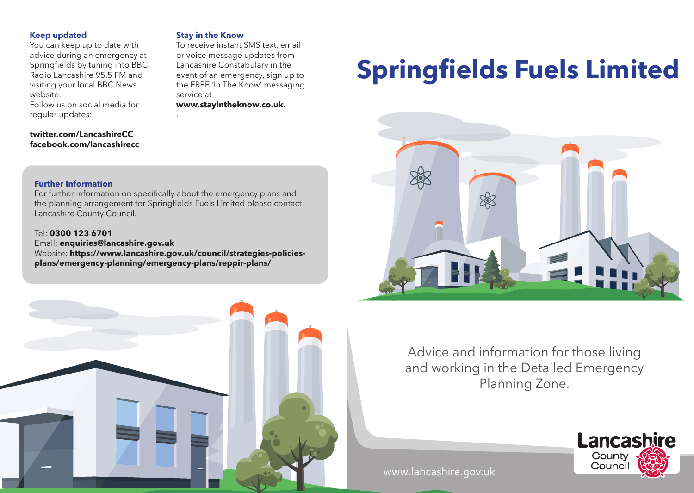# **Keep updated**

You can keep up to date with advice during an emergency at Springfields by tuning into BBC Radio Lancashire 95.5 FM and visiting your local BBC News website.

Follow us on social media for regular updates:

# **twitter.com/LancashireCC facebook.com/lancashirecc**

#### **Stay in the Know**

To receive instant SMS text, email or voice message updates from Lancashire Constabulary in the event of an emergency, sign up to the FREE 'In The Know' messaging service at **www.stayintheknow.co.uk.** 

**Springfields Fuels Limited** 



# **Further Information**

For further information on specifically about the emergency plans and the planning arrangement for Springfields Fuels Limited please contact Lancashire County Council.

.

## Tel: **0300 123 6701**

Email: **enquiries@lancashire.gov.uk** 

Website: **https://www.lancashire.gov.uk/council/strategies-policiesplans/emergency-planning/emergency-plans/reppir-plans/** 





# www.lancashire.gov.uk